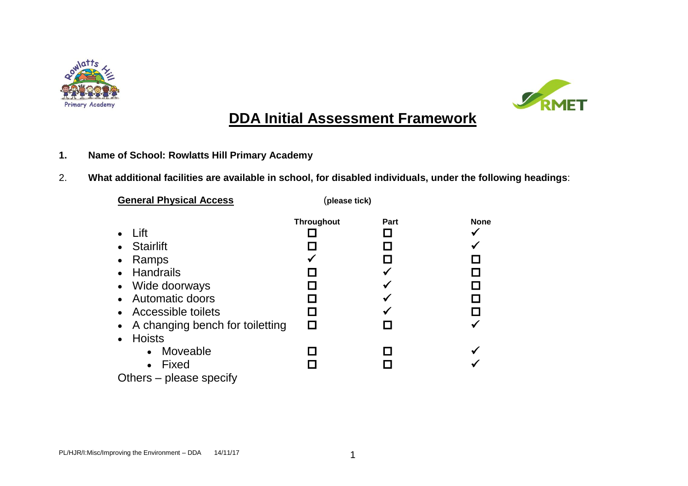



# **DDA Initial Assessment Framework**

- **1. Name of School: Rowlatts Hill Primary Academy**
- 2. **What additional facilities are available in school, for disabled individuals, under the following headings**:

| <b>General Physical Access</b>                                                                                                                                                   | (please tick)            |      |      |
|----------------------------------------------------------------------------------------------------------------------------------------------------------------------------------|--------------------------|------|------|
| Lift<br><b>Stairlift</b><br>Ramps<br><b>Handrails</b><br>Wide doorways<br>$\bullet$<br>Automatic doors<br>Accessible toilets<br>A changing bench for toiletting<br><b>Hoists</b> | <b>Throughout</b><br>I I | Part | None |
| Moveable<br>$\bullet$<br>Fixed<br>$\bullet$<br>Others – please specify                                                                                                           |                          |      |      |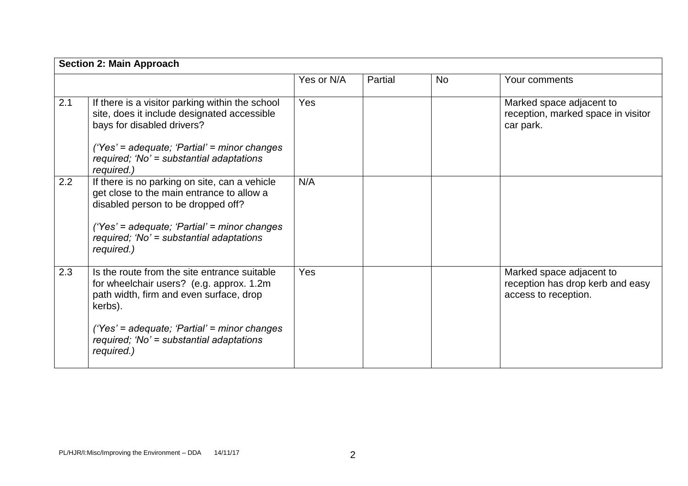|     | <b>Section 2: Main Approach</b>                                                                                                                                                                                                                           |            |         |           |                                                                                      |
|-----|-----------------------------------------------------------------------------------------------------------------------------------------------------------------------------------------------------------------------------------------------------------|------------|---------|-----------|--------------------------------------------------------------------------------------|
|     |                                                                                                                                                                                                                                                           | Yes or N/A | Partial | <b>No</b> | Your comments                                                                        |
| 2.1 | If there is a visitor parking within the school<br>site, does it include designated accessible<br>bays for disabled drivers?<br>('Yes' = adequate; 'Partial' = minor changes<br>required; 'No' = substantial adaptations<br>required.)                    | Yes        |         |           | Marked space adjacent to<br>reception, marked space in visitor<br>car park.          |
| 2.2 | If there is no parking on site, can a vehicle<br>get close to the main entrance to allow a<br>disabled person to be dropped off?<br>('Yes' = adequate; 'Partial' = minor changes<br>required; 'No' = substantial adaptations<br>required.)                | N/A        |         |           |                                                                                      |
| 2.3 | Is the route from the site entrance suitable<br>for wheelchair users? (e.g. approx. 1.2m)<br>path width, firm and even surface, drop<br>kerbs).<br>('Yes' = adequate; 'Partial' = minor changes<br>required; 'No' = substantial adaptations<br>required.) | Yes        |         |           | Marked space adjacent to<br>reception has drop kerb and easy<br>access to reception. |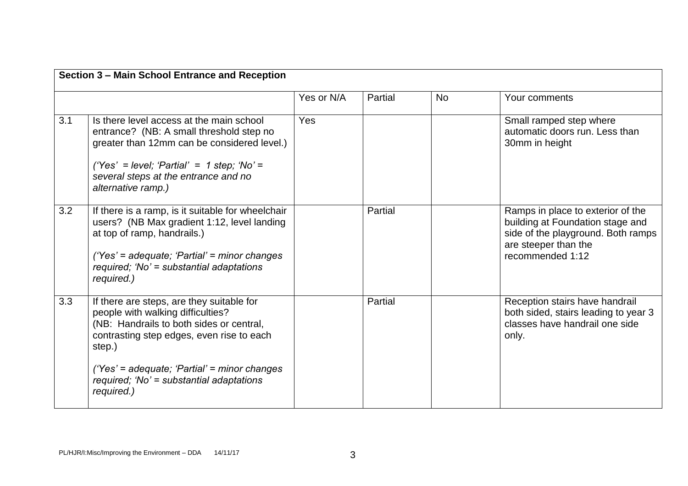| Section 3 - Main School Entrance and Reception                                                                                                                                                                                                                                |            |         |           |                                                                                                                                                         |
|-------------------------------------------------------------------------------------------------------------------------------------------------------------------------------------------------------------------------------------------------------------------------------|------------|---------|-----------|---------------------------------------------------------------------------------------------------------------------------------------------------------|
|                                                                                                                                                                                                                                                                               | Yes or N/A | Partial | <b>No</b> | Your comments                                                                                                                                           |
| Is there level access at the main school<br>entrance? (NB: A small threshold step no<br>greater than 12mm can be considered level.)<br>('Yes' = level; 'Partial' = 1 step; 'No' =<br>several steps at the entrance and no<br>alternative ramp.)                               | Yes        |         |           | Small ramped step where<br>automatic doors run. Less than<br>30mm in height                                                                             |
| If there is a ramp, is it suitable for wheelchair<br>users? (NB Max gradient 1:12, level landing<br>at top of ramp, handrails.)<br>('Yes' = adequate; 'Partial' = minor changes<br>required; 'No' = substantial adaptations<br>required.)                                     |            | Partial |           | Ramps in place to exterior of the<br>building at Foundation stage and<br>side of the playground. Both ramps<br>are steeper than the<br>recommended 1:12 |
| If there are steps, are they suitable for<br>people with walking difficulties?<br>(NB: Handrails to both sides or central,<br>contrasting step edges, even rise to each<br>step.)<br>('Yes' = adequate; 'Partial' = minor changes<br>required; 'No' = substantial adaptations |            | Partial |           | Reception stairs have handrail<br>both sided, stairs leading to year 3<br>classes have handrail one side<br>only.                                       |
|                                                                                                                                                                                                                                                                               | required.) |         |           |                                                                                                                                                         |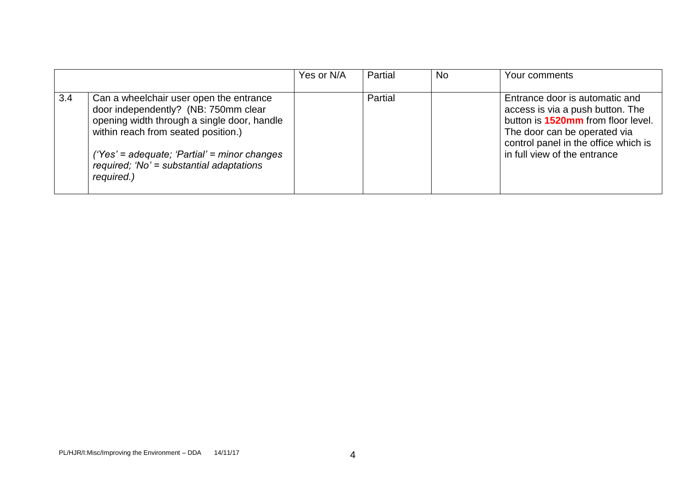|                   |                                                                                                                                                                                                                                                                                   | Yes or N/A | Partial | <b>No</b> | Your comments                                                                                                                                                                                                           |
|-------------------|-----------------------------------------------------------------------------------------------------------------------------------------------------------------------------------------------------------------------------------------------------------------------------------|------------|---------|-----------|-------------------------------------------------------------------------------------------------------------------------------------------------------------------------------------------------------------------------|
| $\vert 3.4 \vert$ | Can a wheelchair user open the entrance<br>door independently? (NB: 750mm clear<br>opening width through a single door, handle<br>within reach from seated position.)<br>$('Yes' = adequate; 'Partial' = minor changes$<br>required; 'No' = substantial adaptations<br>required.) |            | Partial |           | Entrance door is automatic and<br>access is via a push button. The<br>button is <b>1520mm</b> from floor level.<br>The door can be operated via<br>control panel in the office which is<br>in full view of the entrance |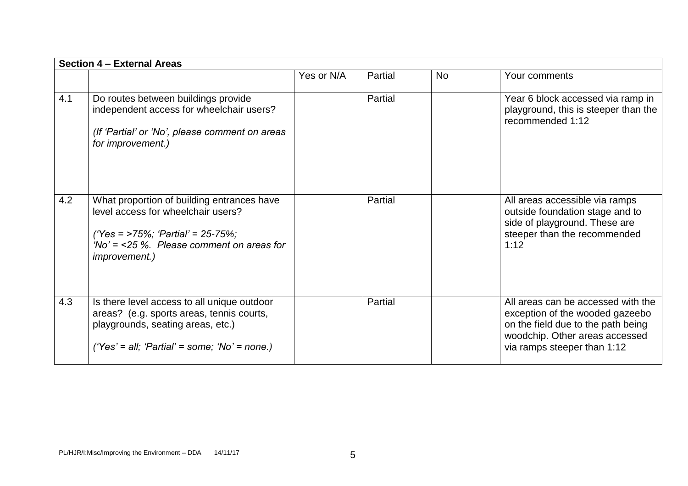|     | Section 4 - External Areas                                                                                                                                                                    |            |         |           |                                                                                                                                                                              |
|-----|-----------------------------------------------------------------------------------------------------------------------------------------------------------------------------------------------|------------|---------|-----------|------------------------------------------------------------------------------------------------------------------------------------------------------------------------------|
|     |                                                                                                                                                                                               | Yes or N/A | Partial | <b>No</b> | Your comments                                                                                                                                                                |
| 4.1 | Do routes between buildings provide<br>independent access for wheelchair users?<br>(If 'Partial' or 'No', please comment on areas<br>for improvement.)                                        |            | Partial |           | Year 6 block accessed via ramp in<br>playground, this is steeper than the<br>recommended 1:12                                                                                |
| 4.2 | What proportion of building entrances have<br>level access for wheelchair users?<br>('Yes = >75%; 'Partial' = 25-75%;<br>'No' = $<$ 25 %. Please comment on areas for<br><i>improvement.)</i> |            | Partial |           | All areas accessible via ramps<br>outside foundation stage and to<br>side of playground. These are<br>steeper than the recommended<br>1:12                                   |
| 4.3 | Is there level access to all unique outdoor<br>areas? (e.g. sports areas, tennis courts,<br>playgrounds, seating areas, etc.)<br>('Yes' = all; 'Partial' = some; 'No' = none.)                |            | Partial |           | All areas can be accessed with the<br>exception of the wooded gazeebo<br>on the field due to the path being<br>woodchip. Other areas accessed<br>via ramps steeper than 1:12 |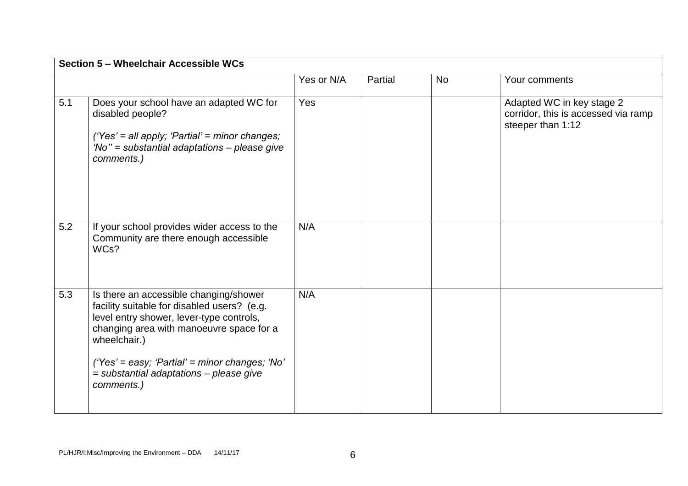|     | Section 5 - Wheelchair Accessible WCs                                                                                                                                                                                                                                                                    |            |         |           |                                                                                       |  |
|-----|----------------------------------------------------------------------------------------------------------------------------------------------------------------------------------------------------------------------------------------------------------------------------------------------------------|------------|---------|-----------|---------------------------------------------------------------------------------------|--|
|     |                                                                                                                                                                                                                                                                                                          | Yes or N/A | Partial | <b>No</b> | Your comments                                                                         |  |
| 5.1 | Does your school have an adapted WC for<br>disabled people?<br>('Yes' = all apply; 'Partial' = minor changes;<br>'No" = substantial adaptations - please give<br>comments.)                                                                                                                              | Yes        |         |           | Adapted WC in key stage 2<br>corridor, this is accessed via ramp<br>steeper than 1:12 |  |
| 5.2 | If your school provides wider access to the<br>Community are there enough accessible<br>WCs?                                                                                                                                                                                                             | N/A        |         |           |                                                                                       |  |
| 5.3 | Is there an accessible changing/shower<br>facility suitable for disabled users? (e.g.<br>level entry shower, lever-type controls,<br>changing area with manoeuvre space for a<br>wheelchair.)<br>('Yes' = easy; 'Partial' = minor changes; 'No'<br>= substantial adaptations - please give<br>comments.) | N/A        |         |           |                                                                                       |  |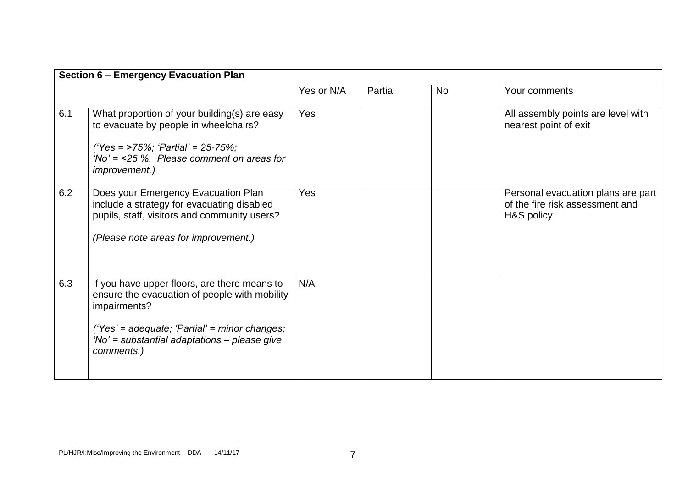|     | <b>Section 6 - Emergency Evacuation Plan</b>                                                                                                                                                                                 |            |         |           |                                                                                     |
|-----|------------------------------------------------------------------------------------------------------------------------------------------------------------------------------------------------------------------------------|------------|---------|-----------|-------------------------------------------------------------------------------------|
|     |                                                                                                                                                                                                                              | Yes or N/A | Partial | <b>No</b> | Your comments                                                                       |
| 6.1 | What proportion of your building(s) are easy<br>to evacuate by people in wheelchairs?<br>('Yes = >75%; 'Partial' = 25-75%;<br>'No' = $<$ 25 %. Please comment on areas for<br><i>improvement.)</i>                           | Yes        |         |           | All assembly points are level with<br>nearest point of exit                         |
| 6.2 | Does your Emergency Evacuation Plan<br>include a strategy for evacuating disabled<br>pupils, staff, visitors and community users?<br>(Please note areas for improvement.)                                                    | Yes        |         |           | Personal evacuation plans are part<br>of the fire risk assessment and<br>H&S policy |
| 6.3 | If you have upper floors, are there means to<br>ensure the evacuation of people with mobility<br>impairments?<br>('Yes' = adequate; 'Partial' = minor changes;<br>'No' = substantial adaptations - please give<br>comments.) | N/A        |         |           |                                                                                     |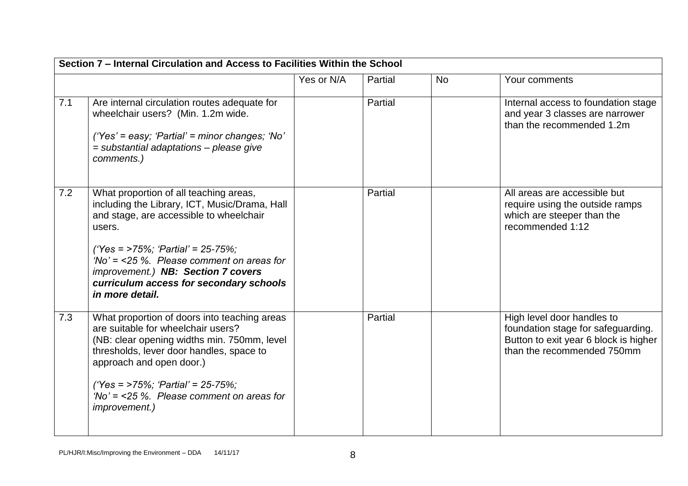|     | Section 7 - Internal Circulation and Access to Facilities Within the School                                                                                                                                                                                                                                                           |            |         |           |                                                                                                                                         |
|-----|---------------------------------------------------------------------------------------------------------------------------------------------------------------------------------------------------------------------------------------------------------------------------------------------------------------------------------------|------------|---------|-----------|-----------------------------------------------------------------------------------------------------------------------------------------|
|     |                                                                                                                                                                                                                                                                                                                                       | Yes or N/A | Partial | <b>No</b> | Your comments                                                                                                                           |
| 7.1 | Are internal circulation routes adequate for<br>wheelchair users? (Min. 1.2m wide.<br>$('Yes' = easy; 'Partial' = minor changes; 'No'$<br>= substantial adaptations - please give<br>comments.)                                                                                                                                       |            | Partial |           | Internal access to foundation stage<br>and year 3 classes are narrower<br>than the recommended 1.2m                                     |
| 7.2 | What proportion of all teaching areas,<br>including the Library, ICT, Music/Drama, Hall<br>and stage, are accessible to wheelchair<br>users.<br>('Yes = >75%; 'Partial' = 25-75%;<br>'No' = $<$ 25 %. Please comment on areas for<br>improvement.) NB: Section 7 covers<br>curriculum access for secondary schools<br>in more detail. |            | Partial |           | All areas are accessible but<br>require using the outside ramps<br>which are steeper than the<br>recommended 1:12                       |
| 7.3 | What proportion of doors into teaching areas<br>are suitable for wheelchair users?<br>(NB: clear opening widths min. 750mm, level<br>thresholds, lever door handles, space to<br>approach and open door.)<br>('Yes = >75%; 'Partial' = 25-75%;<br>'No' = $<$ 25 %. Please comment on areas for<br><i>improvement.)</i>                |            | Partial |           | High level door handles to<br>foundation stage for safeguarding.<br>Button to exit year 6 block is higher<br>than the recommended 750mm |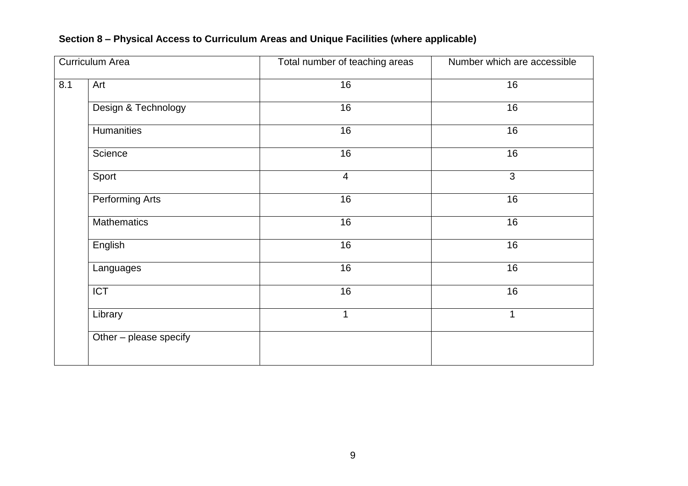## **Section 8 – Physical Access to Curriculum Areas and Unique Facilities (where applicable)**

| <b>Curriculum Area</b> |                        | Total number of teaching areas | Number which are accessible |  |  |
|------------------------|------------------------|--------------------------------|-----------------------------|--|--|
| 8.1                    | Art                    | 16                             | 16                          |  |  |
|                        | Design & Technology    | 16                             | 16                          |  |  |
|                        | <b>Humanities</b>      | 16                             | 16                          |  |  |
|                        | Science                | 16                             | 16                          |  |  |
|                        | Sport                  | $\overline{4}$                 | $\overline{3}$              |  |  |
|                        | Performing Arts        | 16                             | 16                          |  |  |
|                        | <b>Mathematics</b>     | 16                             | 16                          |  |  |
|                        | English                | 16                             | 16                          |  |  |
|                        | Languages              | 16                             | 16                          |  |  |
|                        | $\overline{ICT}$       | 16                             | $\overline{16}$             |  |  |
|                        | Library                | 1                              | $\mathbf 1$                 |  |  |
|                        | Other - please specify |                                |                             |  |  |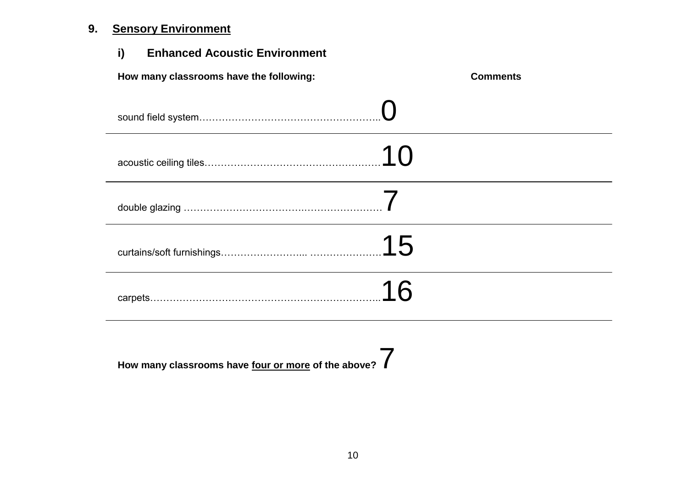## **9. Sensory Environment**

| i)<br><b>Enhanced Acoustic Environment</b> |                 |
|--------------------------------------------|-----------------|
| How many classrooms have the following:    | <b>Comments</b> |
|                                            |                 |
|                                            | .10             |
|                                            |                 |
|                                            |                 |
|                                            | 16              |

**How many classrooms have four or more of the above?** 7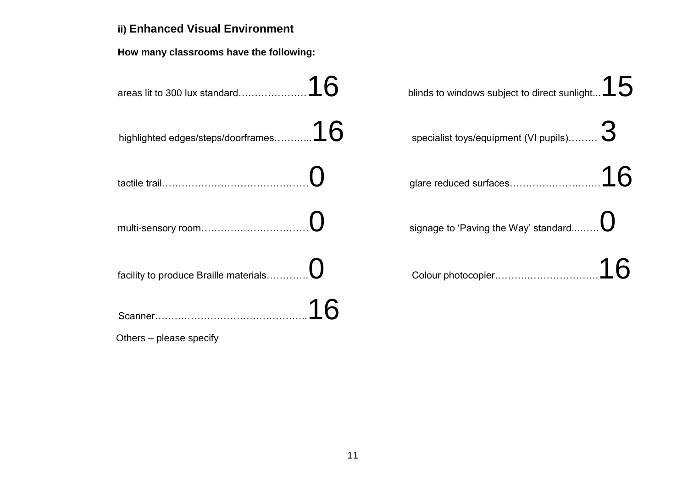## **ii) Enhanced Visual Environment**

**How many classrooms have the following:**

| 16<br>areas lit to 300 lux standard      | blinds to windows subject to direct sunlight $15$ |
|------------------------------------------|---------------------------------------------------|
| 16<br>highlighted edges/steps/doorframes | specialist toys/equipment (VI pupils)             |
|                                          | glare reduced surfaces                            |
| multi-sensory room                       | signage to 'Paving the Way' standard              |
| facility to produce Braille materials    | Colour photocopier                                |
|                                          |                                                   |

Others – please specify

| linds to windows subject to direct sunlight $15\,$    |  |
|-------------------------------------------------------|--|
| specialist toys/equipment (VI pupils).……… $\mathbf 3$ |  |
|                                                       |  |
| signage to 'Paving the Way' standard…… $\bigcup$      |  |
|                                                       |  |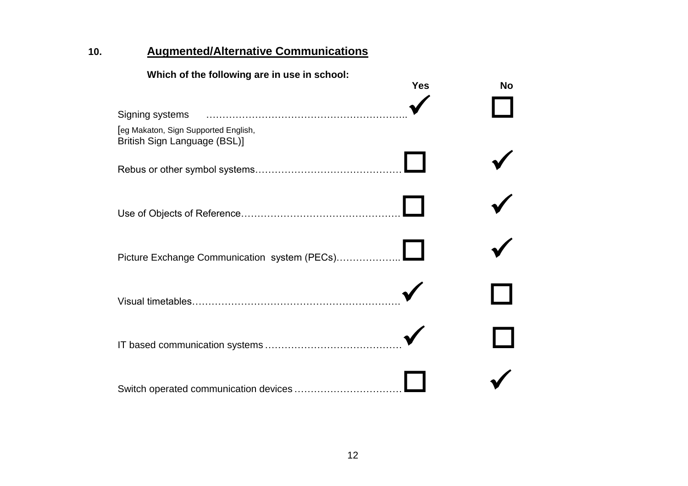## **10. Augmented/Alternative Communications**

#### **Which of the following are in use in school:**

|                                                                      | <b>Yes</b> | <b>No</b> |
|----------------------------------------------------------------------|------------|-----------|
| Signing systems                                                      |            |           |
| [eg Makaton, Sign Supported English,<br>British Sign Language (BSL)] |            |           |
|                                                                      |            |           |
|                                                                      |            |           |
| Picture Exchange Communication system (PECs)                         |            |           |
|                                                                      |            |           |
|                                                                      |            |           |
| Switch operated communication devices                                |            |           |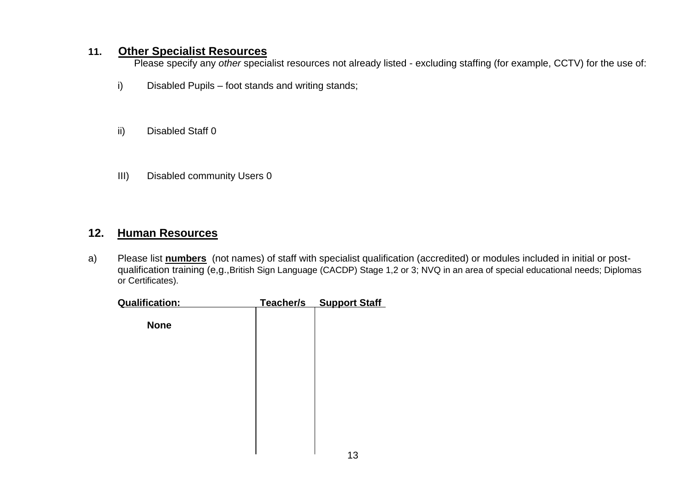#### **11. Other Specialist Resources**

Please specify any *other* specialist resources not already listed - excluding staffing (for example, CCTV) for the use of:

- i) Disabled Pupils foot stands and writing stands;
- ii) Disabled Staff 0
- III) Disabled community Users 0

#### **12. Human Resources**

a) Please list **numbers** (not names) of staff with specialist qualification (accredited) or modules included in initial or postqualification training (e,g.,British Sign Language (CACDP) Stage 1,2 or 3; NVQ in an area of special educational needs; Diplomas or Certificates).

| Qualification: | Teacher/s | <b>Support Staff</b> |
|----------------|-----------|----------------------|
| <b>None</b>    |           |                      |
|                |           |                      |
|                |           |                      |
|                |           |                      |
|                |           |                      |
|                |           | $\sim$               |